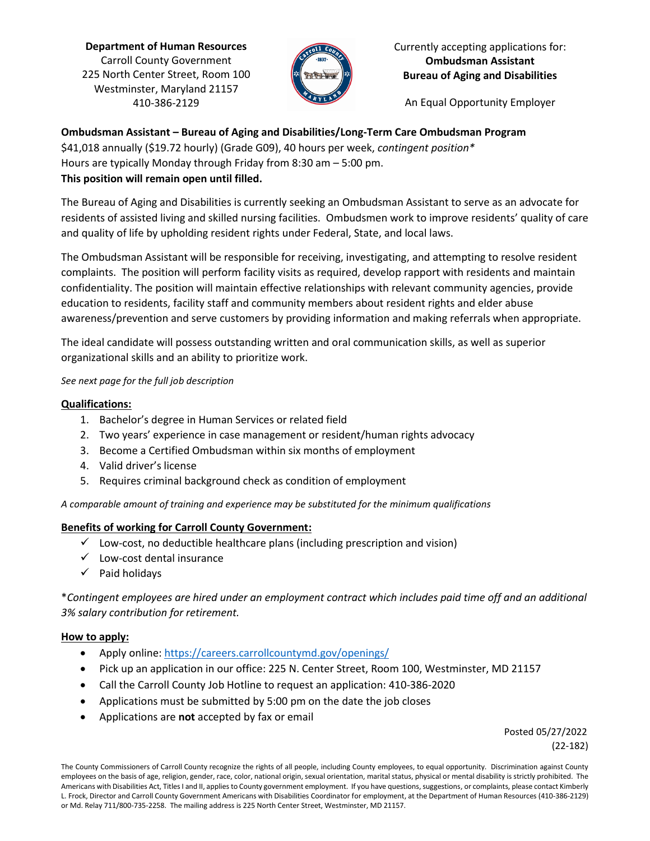**Department of Human Resources** Carroll County Government 225 North Center Street, Room 100 Westminster, Maryland 21157 410-386-2129



Currently accepting applications for: **Ombudsman Assistant Bureau of Aging and Disabilities**

An Equal Opportunity Employer

### **Ombudsman Assistant – Bureau of Aging and Disabilities/Long-Term Care Ombudsman Program**

\$41,018 annually (\$19.72 hourly) (Grade G09), 40 hours per week, *contingent position\** Hours are typically Monday through Friday from 8:30 am – 5:00 pm.

### **This position will remain open until filled.**

The Bureau of Aging and Disabilities is currently seeking an Ombudsman Assistant to serve as an advocate for residents of assisted living and skilled nursing facilities. Ombudsmen work to improve residents' quality of care and quality of life by upholding resident rights under Federal, State, and local laws.

The Ombudsman Assistant will be responsible for receiving, investigating, and attempting to resolve resident complaints. The position will perform facility visits as required, develop rapport with residents and maintain confidentiality. The position will maintain effective relationships with relevant community agencies, provide education to residents, facility staff and community members about resident rights and elder abuse awareness/prevention and serve customers by providing information and making referrals when appropriate.

The ideal candidate will possess outstanding written and oral communication skills, as well as superior organizational skills and an ability to prioritize work.

### *See next page for the full job description*

### **Qualifications:**

- 1. Bachelor's degree in Human Services or related field
- 2. Two years' experience in case management or resident/human rights advocacy
- 3. Become a Certified Ombudsman within six months of employment
- 4. Valid driver's license
- 5. Requires criminal background check as condition of employment

*A comparable amount of training and experience may be substituted for the minimum qualifications*

# **Benefits of working for Carroll County Government:**

- $\checkmark$  Low-cost, no deductible healthcare plans (including prescription and vision)
- $\checkmark$  Low-cost dental insurance
- $\checkmark$  Paid holidays

\**Contingent employees are hired under an employment contract which includes paid time off and an additional 3% salary contribution for retirement.* 

# **How to apply:**

- Apply online:<https://careers.carrollcountymd.gov/openings/>
- Pick up an application in our office: 225 N. Center Street, Room 100, Westminster, MD 21157
- Call the Carroll County Job Hotline to request an application: 410-386-2020
- Applications must be submitted by 5:00 pm on the date the job closes
- Applications are **not** accepted by fax or email

 Posted 05/27/2022 (22-182)

The County Commissioners of Carroll County recognize the rights of all people, including County employees, to equal opportunity. Discrimination against County employees on the basis of age, religion, gender, race, color, national origin, sexual orientation, marital status, physical or mental disability is strictly prohibited. The Americans with Disabilities Act, Titles I and II, applies to County government employment. If you have questions, suggestions, or complaints, please contact Kimberly L. Frock, Director and Carroll County Government Americans with Disabilities Coordinator for employment, at the Department of Human Resources (410-386-2129) or Md. Relay 711/800-735-2258. The mailing address is 225 North Center Street, Westminster, MD 21157.